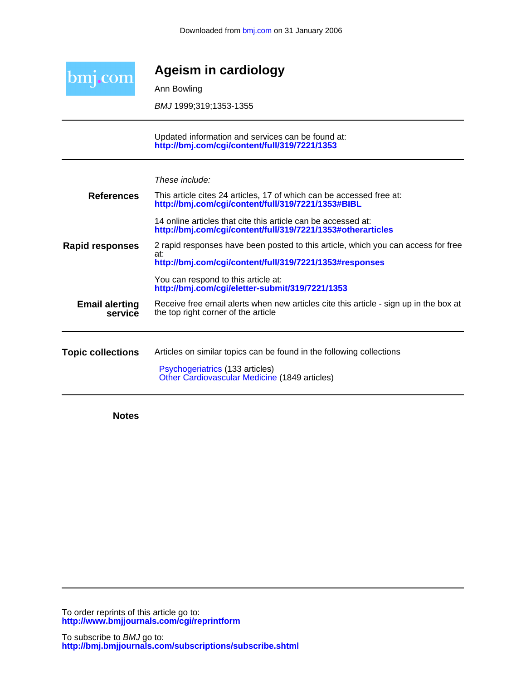

# **Ageism in cardiology**

Ann Bowling

BMJ 1999;319;1353-1355

|                                  | Updated information and services can be found at:<br>http://bmj.com/cgi/content/full/319/7221/1353                           |
|----------------------------------|------------------------------------------------------------------------------------------------------------------------------|
|                                  | These include:                                                                                                               |
| <b>References</b>                | This article cites 24 articles, 17 of which can be accessed free at:<br>http://bmj.com/cgi/content/full/319/7221/1353#BIBL   |
|                                  | 14 online articles that cite this article can be accessed at:<br>http://bmj.com/cgi/content/full/319/7221/1353#otherarticles |
| Rapid responses                  | 2 rapid responses have been posted to this article, which you can access for free<br>at:                                     |
|                                  | http://bmj.com/cgi/content/full/319/7221/1353#responses                                                                      |
|                                  | You can respond to this article at:<br>http://bmj.com/cgi/eletter-submit/319/7221/1353                                       |
| <b>Email alerting</b><br>service | Receive free email alerts when new articles cite this article - sign up in the box at<br>the top right corner of the article |
| <b>Topic collections</b>         | Articles on similar topics can be found in the following collections                                                         |
|                                  | Psychogeriatrics (133 articles)<br>Other Cardiovascular Medicine (1849 articles)                                             |

**Notes**

**<http://www.bmjjournals.com/cgi/reprintform>** To order reprints of this article go to: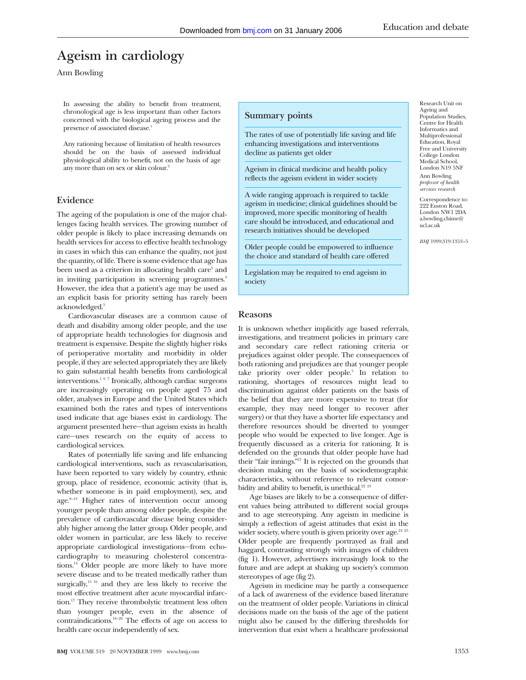## **Ageism in cardiology**

Ann Bowling

In assessing the ability to benefit from treatment, chronological age is less important than other factors concerned with the biological ageing process and the presence of associated disease.<sup>1</sup>

Any rationing because of limitation of health resources should be on the basis of assessed individual physiological ability to benefit, not on the basis of age any more than on sex or skin colour.<sup>2</sup>

## **Evidence**

The ageing of the population is one of the major challenges facing health services. The growing number of older people is likely to place increasing demands on health services for access to effective health technology in cases in which this can enhance the quality, not just the quantity, of life. There is some evidence that age has been used as a criterion in allocating health care<sup>3</sup> and in inviting participation in screening programmes.<sup>4</sup> However, the idea that a patient's age may be used as an explicit basis for priority setting has rarely been acknowledged.<sup>5</sup>

Cardiovascular diseases are a common cause of death and disability among older people, and the use of appropriate health technologies for diagnosis and treatment is expensive. Despite the slightly higher risks of perioperative mortality and morbidity in older people, if they are selected appropriately they are likely to gain substantial health benefits from cardiological interventions.167 Ironically, although cardiac surgeons are increasingly operating on people aged 75 and older, analyses in Europe and the United States which examined both the rates and types of interventions used indicate that age biases exist in cardiology. The argument presented here—that ageism exists in health care—uses research on the equity of access to cardiological services.

Rates of potentially life saving and life enhancing cardiological interventions, such as revascularisation, have been reported to vary widely by country, ethnic group, place of residence, economic activity (that is, whether someone is in paid employment), sex, and age. $8-13$  Higher rates of intervention occur among younger people than among older people, despite the prevalence of cardiovascular disease being considerably higher among the latter group. Older people, and older women in particular, are less likely to receive appropriate cardiological investigations—from echocardiography to measuring cholesterol concentrations.<sup>14</sup> Older people are more likely to have more severe disease and to be treated medically rather than surgically,<sup>15 16</sup> and they are less likely to receive the most effective treatment after acute myocardial infarction.17 They receive thrombolytic treatment less often than younger people, even in the absence of contraindications.18–20 The effects of age on access to health care occur independently of sex.

#### **Summary points**

The rates of use of potentially life saving and life enhancing investigations and interventions decline as patients get older

Ageism in clinical medicine and health policy reflects the ageism evident in wider society

A wide ranging approach is required to tackle ageism in medicine; clinical guidelines should be improved, more specific monitoring of health care should be introduced, and educational and research initiatives should be developed

Older people could be empowered to influence the choice and standard of health care offered

Legislation may be required to end ageism in society

#### **Reasons**

It is unknown whether implicitly age based referrals, investigations, and treatment policies in primary care and secondary care reflect rationing criteria or prejudices against older people. The consequences of both rationing and prejudices are that younger people take priority over older people.<sup>5</sup> In relation to rationing, shortages of resources might lead to discrimination against older patients on the basis of the belief that they are more expensive to treat (for example, they may need longer to recover after surgery) or that they have a shorter life expectancy and therefore resources should be diverted to younger people who would be expected to live longer. Age is frequently discussed as a criteria for rationing. It is defended on the grounds that older people have had their "fair innings."21 It is rejected on the grounds that decision making on the basis of sociodemographic characteristics, without reference to relevant comorbidity and ability to benefit, is unethical.<sup>22</sup> <sup>23</sup>

Age biases are likely to be a consequence of different values being attributed to different social groups and to age stereotyping. Any ageism in medicine is simply a reflection of ageist attitudes that exist in the wider society, where youth is given priority over age. $2425$ Older people are frequently portrayed as frail and haggard, contrasting strongly with images of children (fig 1). However, advertisers increasingly look to the future and are adept at shaking up society's common stereotypes of age (fig 2).

Ageism in medicine may be partly a consequence of a lack of awareness of the evidence based literature on the treatment of older people. Variations in clinical decisions made on the basis of the age of the patient might also be caused by the differing thresholds for intervention that exist when a healthcare professional

Research Unit on Ageing and Population Studies, Centre for Health Informatics and Multiprofessional Education, Royal Free and University College London Medical School, London N19 5NF Ann Bowling *professor of health services research*

Correspondence to: 222 Euston Road, London NW1 2DA a.bowling.chime@ ucl.ac.uk

*BMJ* 1999;319:1353–5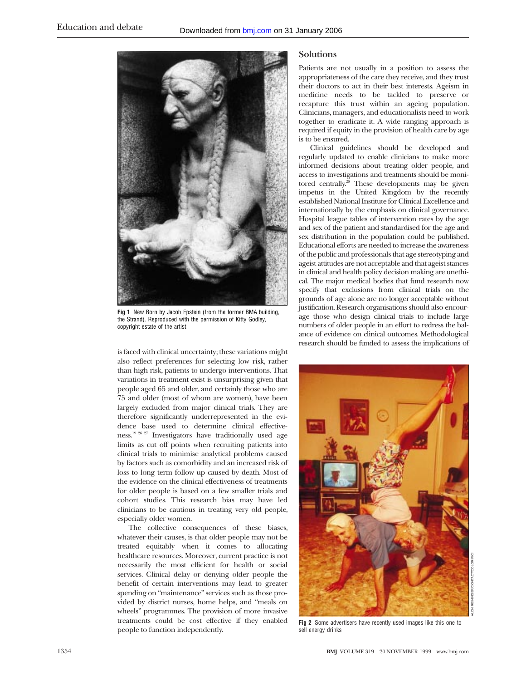

**Fig 1** New Born by Jacob Epstein (from the former BMA building, the Strand). Reproduced with the permission of Kitty Godley, copyright estate of the artist

is faced with clinical uncertainty; these variations might also reflect preferences for selecting low risk, rather than high risk, patients to undergo interventions. That variations in treatment exist is unsurprising given that people aged 65 and older, and certainly those who are 75 and older (most of whom are women), have been largely excluded from major clinical trials. They are therefore significantly underrepresented in the evidence base used to determine clinical effectiveness.19 26 27 Investigators have traditionally used age limits as cut off points when recruiting patients into clinical trials to minimise analytical problems caused by factors such as comorbidity and an increased risk of loss to long term follow up caused by death. Most of the evidence on the clinical effectiveness of treatments for older people is based on a few smaller trials and cohort studies. This research bias may have led clinicians to be cautious in treating very old people, especially older women.

The collective consequences of these biases, whatever their causes, is that older people may not be treated equitably when it comes to allocating healthcare resources. Moreover, current practice is not necessarily the most efficient for health or social services. Clinical delay or denying older people the benefit of certain interventions may lead to greater spending on "maintenance" services such as those provided by district nurses, home helps, and "meals on wheels" programmes. The provision of more invasive treatments could be cost effective if they enabled people to function independently.

## **Solutions**

Patients are not usually in a position to assess the appropriateness of the care they receive, and they trust their doctors to act in their best interests. Ageism in medicine needs to be tackled to preserve—or recapture—this trust within an ageing population. Clinicians, managers, and educationalists need to work together to eradicate it. A wide ranging approach is required if equity in the provision of health care by age is to be ensured.

Clinical guidelines should be developed and regularly updated to enable clinicians to make more informed decisions about treating older people, and access to investigations and treatments should be monitored centrally. $28$ <sup>28</sup> These developments may be given impetus in the United Kingdom by the recently established National Institute for Clinical Excellence and internationally by the emphasis on clinical governance. Hospital league tables of intervention rates by the age and sex of the patient and standardised for the age and sex distribution in the population could be published. Educational efforts are needed to increase the awareness of the public and professionals that age stereotyping and ageist attitudes are not acceptable and that ageist stances in clinical and health policy decision making are unethical. The major medical bodies that fund research now specify that exclusions from clinical trials on the grounds of age alone are no longer acceptable without justification. Research organisations should also encourage those who design clinical trials to include large numbers of older people in an effort to redress the balance of evidence on clinical outcomes. Methodological research should be funded to assess the implications of



**Fig 2** Some advertisers have recently used images like this one to sell energy drinks